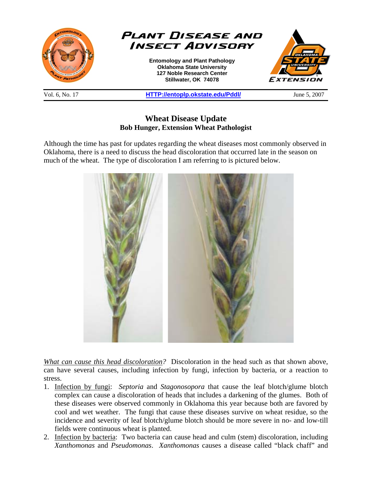

**Wheat Disease Update Bob Hunger, Extension Wheat Pathologist** 

Although the time has past for updates regarding the wheat diseases most commonly observed in Oklahoma, there is a need to discuss the head discoloration that occurred late in the season on much of the wheat. The type of discoloration I am referring to is pictured below.



*What can cause this head discoloration?* Discoloration in the head such as that shown above, can have several causes, including infection by fungi, infection by bacteria, or a reaction to stress.

- 1. Infection by fungi: *Septoria* and *Stagonosopora* that cause the leaf blotch/glume blotch complex can cause a discoloration of heads that includes a darkening of the glumes. Both of these diseases were observed commonly in Oklahoma this year because both are favored by cool and wet weather. The fungi that cause these diseases survive on wheat residue, so the incidence and severity of leaf blotch/glume blotch should be more severe in no- and low-till fields were continuous wheat is planted.
- 2. Infection by bacteria: Two bacteria can cause head and culm (stem) discoloration, including *Xanthomonas* and *Pseudomonas*. *Xanthomonas* causes a disease called "black chaff" and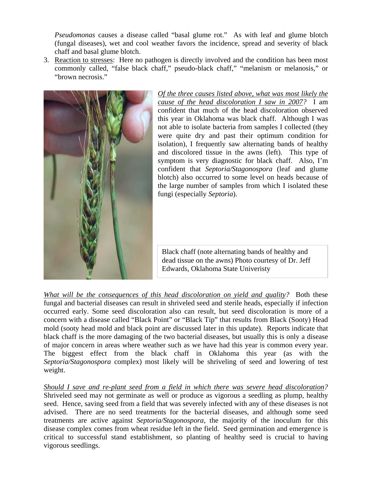*Pseudomonas* causes a disease called "basal glume rot." As with leaf and glume blotch (fungal diseases), wet and cool weather favors the incidence, spread and severity of black chaff and basal glume blotch.

3. Reaction to stresses: Here no pathogen is directly involved and the condition has been most commonly called, "false black chaff," pseudo-black chaff," "melanism or melanosis," or "brown necrosis."



*Of the three causes listed above, what was most likely the cause of the head discoloration I saw in 2007?* I am confident that much of the head discoloration observed this year in Oklahoma was black chaff. Although I was not able to isolate bacteria from samples I collected (they were quite dry and past their optimum condition for isolation), I frequently saw alternating bands of healthy and discolored tissue in the awns (left). This type of symptom is very diagnostic for black chaff. Also, I'm confident that *Septoria/Stagonospora* (leaf and glume blotch) also occurred to some level on heads because of the large number of samples from which I isolated these fungi (especially *Septoria*).

Black chaff (note alternating bands of healthy and dead tissue on the awns) Photo courtesy of Dr. Jeff Edwards, Oklahoma State Univeristy

*What will be the consequences of this head discoloration on yield and quality?* Both these fungal and bacterial diseases can result in shriveled seed and sterile heads, especially if infection occurred early. Some seed discoloration also can result, but seed discoloration is more of a concern with a disease called "Black Point" or "Black Tip" that results from Black (Sooty) Head mold (sooty head mold and black point are discussed later in this update). Reports indicate that black chaff is the more damaging of the two bacterial diseases, but usually this is only a disease of major concern in areas where weather such as we have had this year is common every year. The biggest effect from the black chaff in Oklahoma this year (as with the *Septoria/Stagonospora* complex) most likely will be shriveling of seed and lowering of test weight.

*Should I save and re-plant seed from a field in which there was severe head discoloration?* Shriveled seed may not germinate as well or produce as vigorous a seedling as plump, healthy seed. Hence, saving seed from a field that was severely infected with any of these diseases is not advised. There are no seed treatments for the bacterial diseases, and although some seed treatments are active against *Septoria/Stagonospora*, the majority of the inoculum for this disease complex comes from wheat residue left in the field. Seed germination and emergence is critical to successful stand establishment, so planting of healthy seed is crucial to having vigorous seedlings.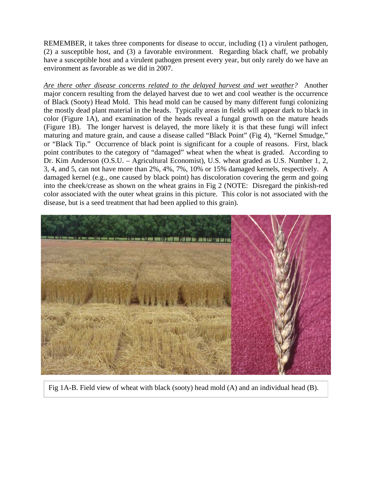REMEMBER, it takes three components for disease to occur, including (1) a virulent pathogen, (2) a susceptible host, and (3) a favorable environment. Regarding black chaff, we probably have a susceptible host and a virulent pathogen present every year, but only rarely do we have an environment as favorable as we did in 2007.

*Are there other disease concerns related to the delayed harvest and wet weather?* Another major concern resulting from the delayed harvest due to wet and cool weather is the occurrence of Black (Sooty) Head Mold. This head mold can be caused by many different fungi colonizing the mostly dead plant material in the heads. Typically areas in fields will appear dark to black in color (Figure 1A), and examination of the heads reveal a fungal growth on the mature heads (Figure 1B). The longer harvest is delayed, the more likely it is that these fungi will infect maturing and mature grain, and cause a disease called "Black Point" (Fig 4), "Kernel Smudge," or "Black Tip." Occurrence of black point is significant for a couple of reasons. First, black point contributes to the category of "damaged" wheat when the wheat is graded. According to Dr. Kim Anderson (O.S.U. – Agricultural Economist), U.S. wheat graded as U.S. Number 1, 2, 3, 4, and 5, can not have more than 2%, 4%, 7%, 10% or 15% damaged kernels, respectively. A damaged kernel (e.g., one caused by black point) has discoloration covering the germ and going into the cheek/crease as shown on the wheat grains in Fig 2 (NOTE: Disregard the pinkish-red color associated with the outer wheat grains in this picture. This color is not associated with the disease, but is a seed treatment that had been applied to this grain).



Fig 1A-B. Field view of wheat with black (sooty) head mold (A) and an individual head (B).